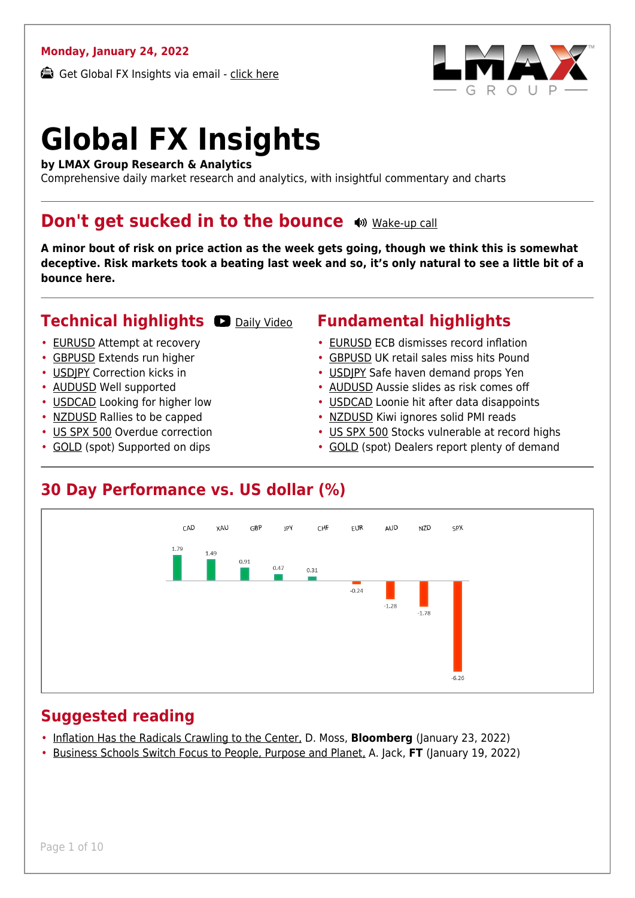#### **Monday, January 24, 2022**

Get Global FX Insights via email - [click here](https://www.lmax.com/blog/global-fx-insights/sign-up/?src=gfxipdf)



# **Global FX Insights**

**by LMAX Group Research & Analytics**

Comprehensive daily market research and analytics, with insightful commentary and charts

#### **Don't get sucked in to the bounce**  $\bullet$  [Wake-up call](https://www.lmax.com/blog/global-fx-insights/2022/01/24/dont-get-sucked-into-the-bounce/?utm_source=GlobalFXInsights-Newsletter&utm_medium=Email&utm_campaign=GlobalFXInsights&audio=play#wakeup-52368)

**A minor bout of risk on price action as the week gets going, though we think this is somewhat deceptive. Risk markets took a beating last week and so, it's only natural to see a little bit of a bounce here.**

#### **Technical highlights O [Daily Video](https://www.lmax.com/blog/global-fx-insights/2022/01/24/dont-get-sucked-into-the-bounce/?utm_source=GlobalFXInsights-Newsletter&utm_medium=Email&utm_campaign=GlobalFXInsights&popup=watch#charttalk-52368)**

- [EURUSD](#page-1-0) Attempt at recovery
- [GBPUSD](#page-2-0) Extends run higher
- [USDJPY](#page-3-0) Correction kicks in
- [AUDUSD](#page-4-0) Well supported
- [USDCAD](#page-5-0) Looking for higher low
- [NZDUSD](#page-6-0) Rallies to be capped
- [US SPX 500](#page-7-0) Overdue correction
- [GOLD](#page-8-0) (spot) Supported on dips

#### **Fundamental highlights**

- [EURUSD](#page-1-1) ECB dismisses record inflation
- [GBPUSD](#page-2-1) UK retail sales miss hits Pound
- [USDJPY](#page-3-1) Safe haven demand props Yen
- [AUDUSD](#page-4-1) Aussie slides as risk comes off
- [USDCAD](#page-5-1) Loonie hit after data disappoints
- [NZDUSD](#page-6-1) Kiwi ignores solid PMI reads
- [US SPX 500](#page-7-1) Stocks vulnerable at record highs
- [GOLD](#page-8-1) (spot) Dealers report plenty of demand

#### **30 Day Performance vs. US dollar (%)**



#### **Suggested reading**

- [Inflation Has the Radicals Crawling to the Center,](https://www.lmax.com/blog/global-fx-insights/2022/01/24/dont-get-sucked-into-the-bounce/?read=https://www.bloomberg.com/opinion/articles/2022-01-23/inflation-is-making-emerging-markets-like-indonesia-reverse-ultra-easy-policies?srnd=opinion) D. Moss, **Bloomberg** (January 23, 2022)
- [Business Schools Switch Focus to People, Purpose and Planet,](https://www.lmax.com/blog/global-fx-insights/2022/01/24/dont-get-sucked-into-the-bounce/?read=https://www.ft.com/video/fe989999-f473-4057-9510-8fec932c7b55?playlist-name=latest&playlist-offset=1) A. Jack, **FT** (January 19, 2022)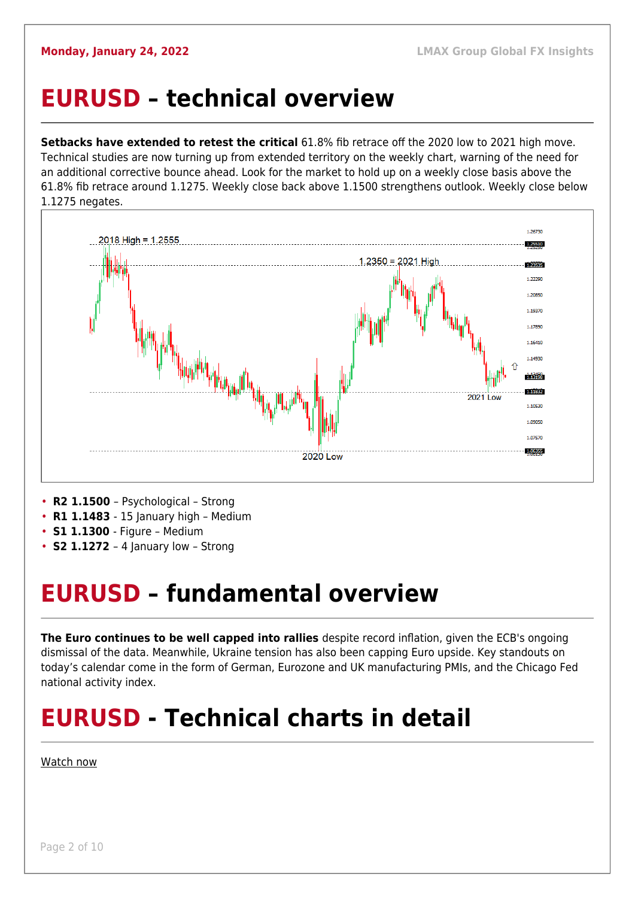#### <span id="page-1-0"></span>**EURUSD – technical overview**

**Setbacks have extended to retest the critical** 61.8% fib retrace off the 2020 low to 2021 high move. Technical studies are now turning up from extended territory on the weekly chart, warning of the need for an additional corrective bounce ahead. Look for the market to hold up on a weekly close basis above the 61.8% fib retrace around 1.1275. Weekly close back above 1.1500 strengthens outlook. Weekly close below 1.1275 negates.



- **R1 1.1483**  15 January high Medium
- **S1 1.1300**  Figure Medium
- **S2 1.1272**  4 January low Strong

## <span id="page-1-1"></span>**EURUSD – fundamental overview**

**The Euro continues to be well capped into rallies** despite record inflation, given the ECB's ongoing dismissal of the data. Meanwhile, Ukraine tension has also been capping Euro upside. Key standouts on today's calendar come in the form of German, Eurozone and UK manufacturing PMIs, and the Chicago Fed national activity index.

## **EURUSD - Technical charts in detail**

#### [Watch now](https://youtu.be/P29foKX1IDw)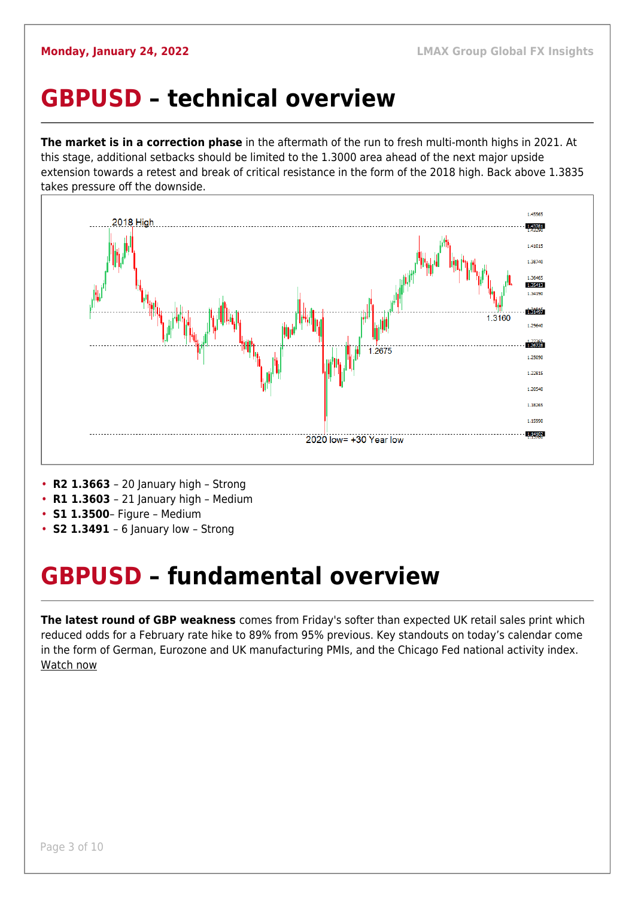#### <span id="page-2-0"></span>**GBPUSD – technical overview**

**The market is in a correction phase** in the aftermath of the run to fresh multi-month highs in 2021. At this stage, additional setbacks should be limited to the 1.3000 area ahead of the next major upside extension towards a retest and break of critical resistance in the form of the 2018 high. Back above 1.3835 takes pressure off the downside.



- **R2 1.3663**  20 January high Strong
- **R1 1.3603**  21 January high Medium
- **S1 1.3500** Figure Medium
- **S2 1.3491**  6 January low Strong

## <span id="page-2-1"></span>**GBPUSD – fundamental overview**

**The latest round of GBP weakness** comes from Friday's softer than expected UK retail sales print which reduced odds for a February rate hike to 89% from 95% previous. Key standouts on today's calendar come in the form of German, Eurozone and UK manufacturing PMIs, and the Chicago Fed national activity index. [Watch now](https://youtu.be/us4VlHNnfwY)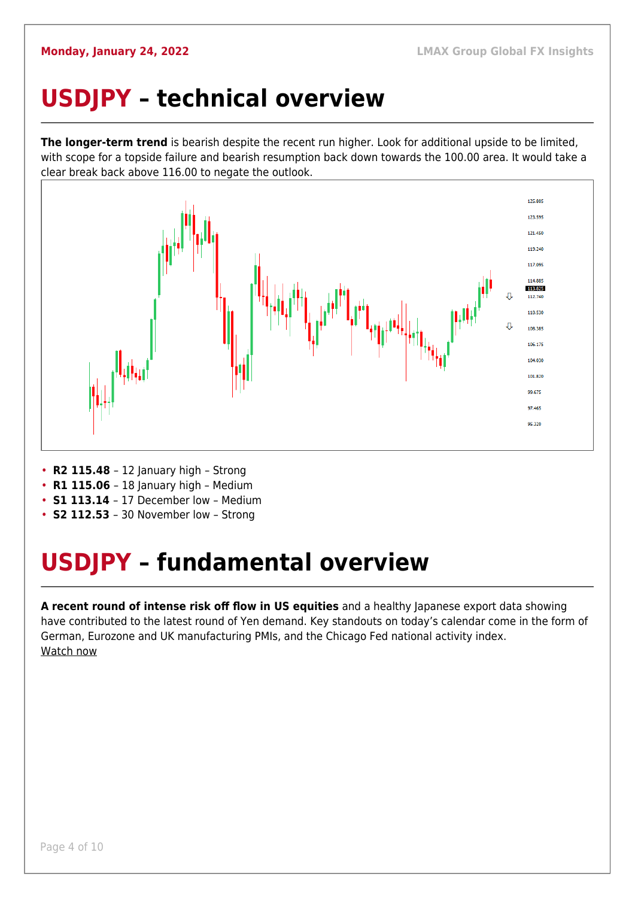## <span id="page-3-0"></span>**USDJPY – technical overview**

**The longer-term trend** is bearish despite the recent run higher. Look for additional upside to be limited, with scope for a topside failure and bearish resumption back down towards the 100.00 area. It would take a clear break back above 116.00 to negate the outlook.



- **R2 115.48**  12 January high Strong
- **R1 115.06** 18 January high Medium
- **S1 113.14**  17 December low Medium
- **S2 112.53**  30 November low Strong

# <span id="page-3-1"></span>**USDJPY – fundamental overview**

**A recent round of intense risk off flow in US equities** and a healthy Japanese export data showing have contributed to the latest round of Yen demand. Key standouts on today's calendar come in the form of German, Eurozone and UK manufacturing PMIs, and the Chicago Fed national activity index. [Watch now](https://youtu.be/mXHJx51NYz4)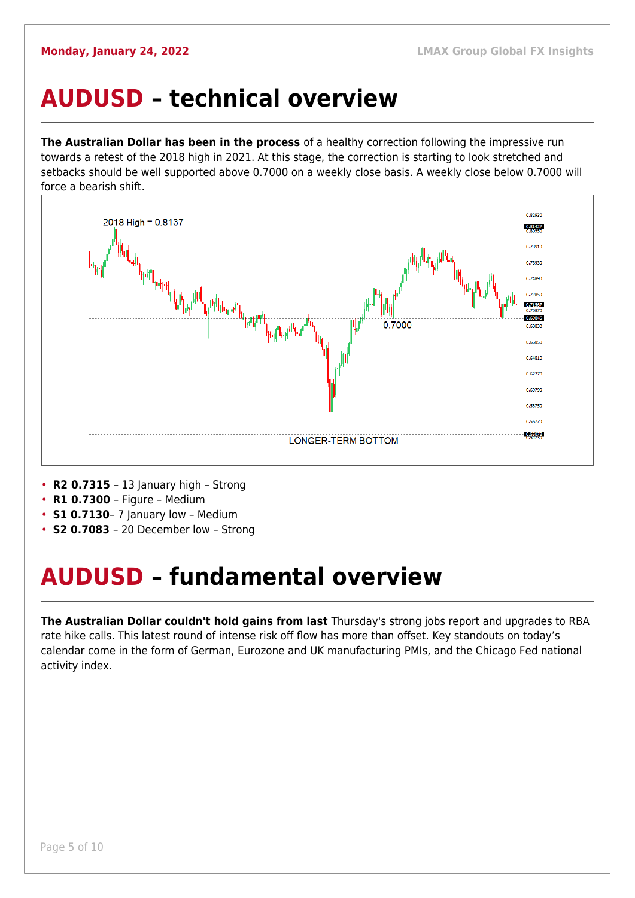#### <span id="page-4-0"></span>**AUDUSD – technical overview**

**The Australian Dollar has been in the process** of a healthy correction following the impressive run towards a retest of the 2018 high in 2021. At this stage, the correction is starting to look stretched and setbacks should be well supported above 0.7000 on a weekly close basis. A weekly close below 0.7000 will force a bearish shift.



- **R2 0.7315**  13 January high Strong
- **R1 0.7300**  Figure Medium
- **S1 0.7130** 7 January low Medium
- **S2 0.7083**  20 December low Strong

# <span id="page-4-1"></span>**AUDUSD – fundamental overview**

**The Australian Dollar couldn't hold gains from last** Thursday's strong jobs report and upgrades to RBA rate hike calls. This latest round of intense risk off flow has more than offset. Key standouts on today's calendar come in the form of German, Eurozone and UK manufacturing PMIs, and the Chicago Fed national activity index.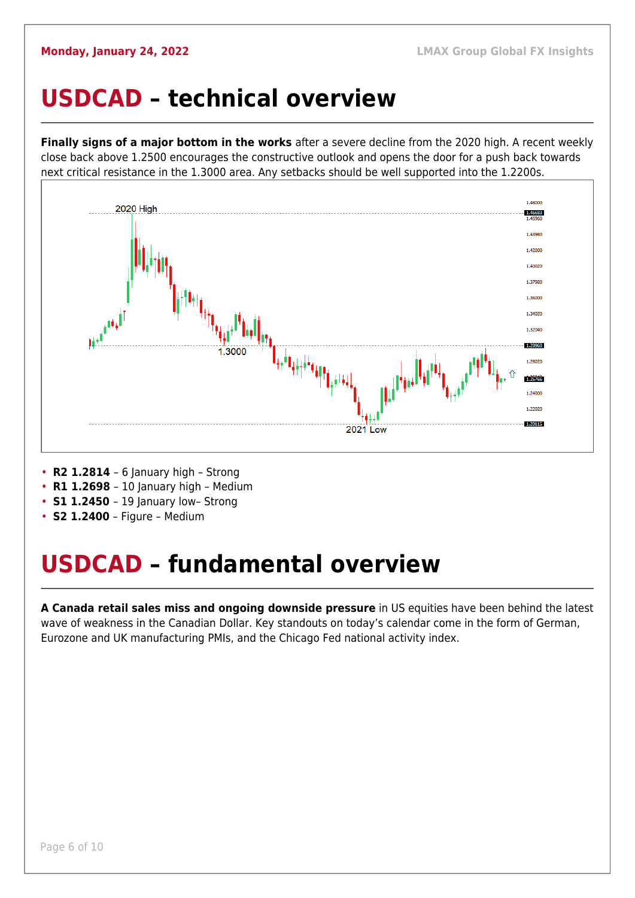#### <span id="page-5-0"></span>**USDCAD – technical overview**

**Finally signs of a major bottom in the works** after a severe decline from the 2020 high. A recent weekly close back above 1.2500 encourages the constructive outlook and opens the door for a push back towards next critical resistance in the 1.3000 area. Any setbacks should be well supported into the 1.2200s.



- **R2 1.2814**  6 January high Strong
- **R1 1.2698**  10 January high Medium
- **S1 1.2450** 19 January low- Strong
- **S2 1.2400** Figure Medium

#### <span id="page-5-1"></span>**USDCAD – fundamental overview**

**A Canada retail sales miss and ongoing downside pressure** in US equities have been behind the latest wave of weakness in the Canadian Dollar. Key standouts on today's calendar come in the form of German, Eurozone and UK manufacturing PMIs, and the Chicago Fed national activity index.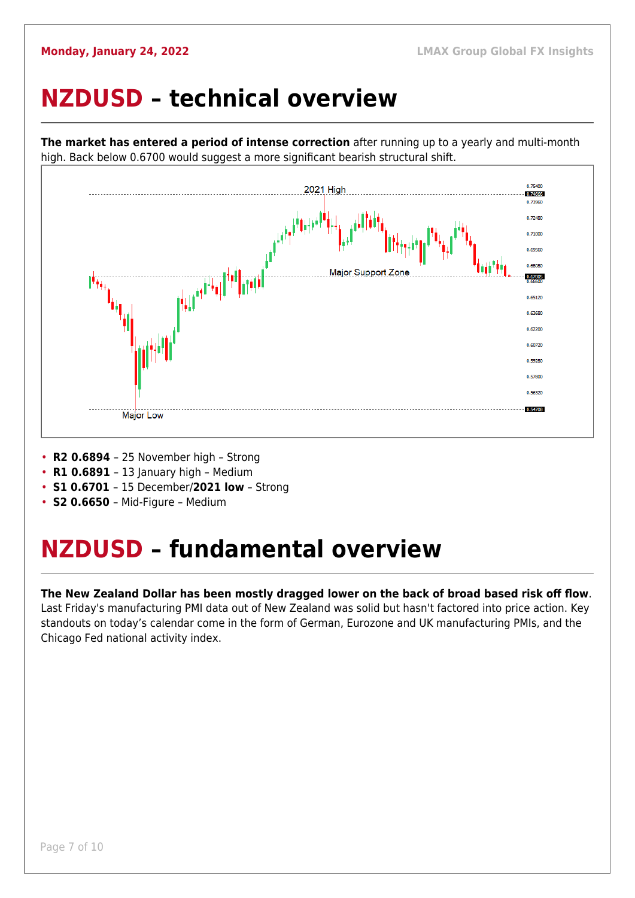#### <span id="page-6-0"></span>**NZDUSD – technical overview**



**The market has entered a period of intense correction** after running up to a yearly and multi-month high. Back below 0.6700 would suggest a more significant bearish structural shift.

- **R2 0.6894**  25 November high Strong
- **R1 0.6891**  13 January high Medium
- **S1 0.6701**  15 December/**2021 low** Strong
- **S2 0.6650**  Mid-Figure Medium

#### <span id="page-6-1"></span>**NZDUSD – fundamental overview**

#### **The New Zealand Dollar has been mostly dragged lower on the back of broad based risk off flow**. Last Friday's manufacturing PMI data out of New Zealand was solid but hasn't factored into price action. Key standouts on today's calendar come in the form of German, Eurozone and UK manufacturing PMIs, and the Chicago Fed national activity index.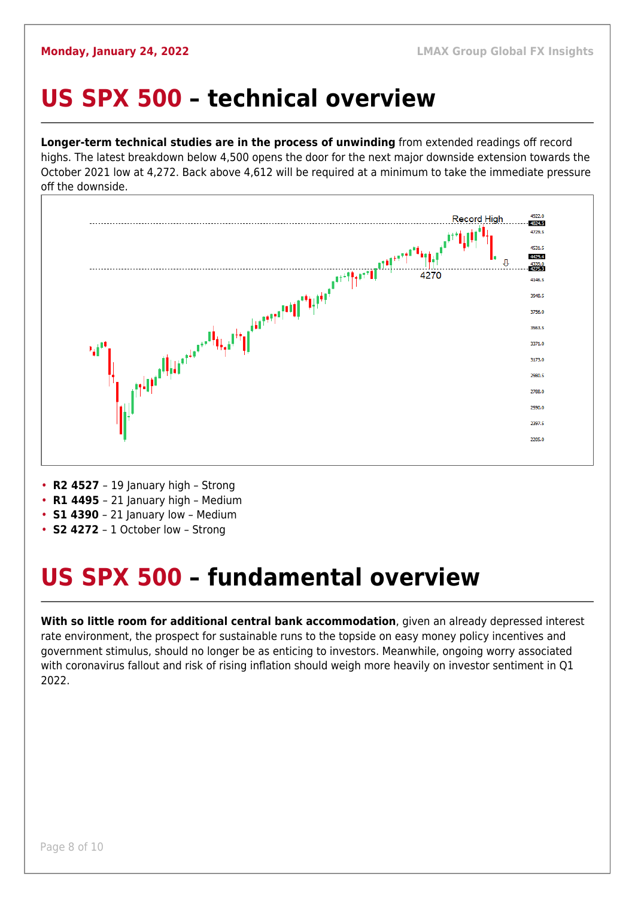## <span id="page-7-0"></span>**US SPX 500 – technical overview**

**Longer-term technical studies are in the process of unwinding** from extended readings off record highs. The latest breakdown below 4,500 opens the door for the next major downside extension towards the October 2021 low at 4,272. Back above 4,612 will be required at a minimum to take the immediate pressure off the downside.



- **R2 4527** 19 January high Strong
- **R1 4495**  21 January high Medium
- **S1 4390**  21 January low Medium
- **S2 4272**  1 October low Strong

# <span id="page-7-1"></span>**US SPX 500 – fundamental overview**

**With so little room for additional central bank accommodation**, given an already depressed interest rate environment, the prospect for sustainable runs to the topside on easy money policy incentives and government stimulus, should no longer be as enticing to investors. Meanwhile, ongoing worry associated with coronavirus fallout and risk of rising inflation should weigh more heavily on investor sentiment in Q1 2022.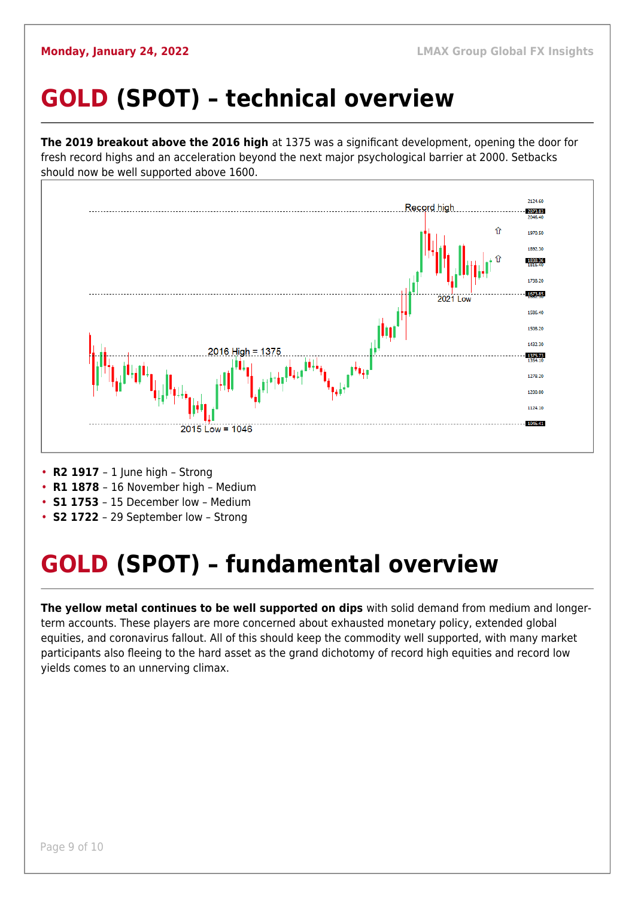# <span id="page-8-0"></span>**GOLD (SPOT) – technical overview**

**The 2019 breakout above the 2016 high** at 1375 was a significant development, opening the door for fresh record highs and an acceleration beyond the next major psychological barrier at 2000. Setbacks should now be well supported above 1600.



- **R2 1917**  1 June high Strong
- **R1 1878**  16 November high Medium
- **S1 1753**  15 December low Medium
- **S2 1722**  29 September low Strong

# <span id="page-8-1"></span>**GOLD (SPOT) – fundamental overview**

**The yellow metal continues to be well supported on dips** with solid demand from medium and longerterm accounts. These players are more concerned about exhausted monetary policy, extended global equities, and coronavirus fallout. All of this should keep the commodity well supported, with many market participants also fleeing to the hard asset as the grand dichotomy of record high equities and record low yields comes to an unnerving climax.